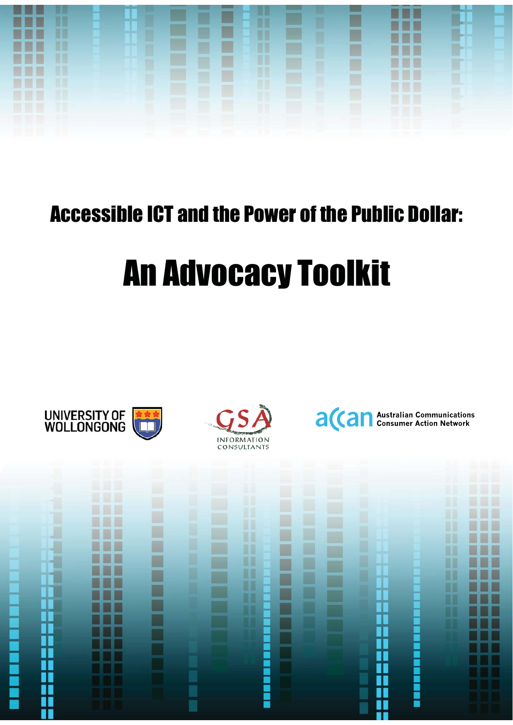

# Accessible ICT and the Power of the Public Dollar:

# An Advocacy Toolkit



a se

n di s

n ш

П

г a s

J

Π Г



□

П



I I

П

I

. .

n di s

**THE** 

٠

a d г

г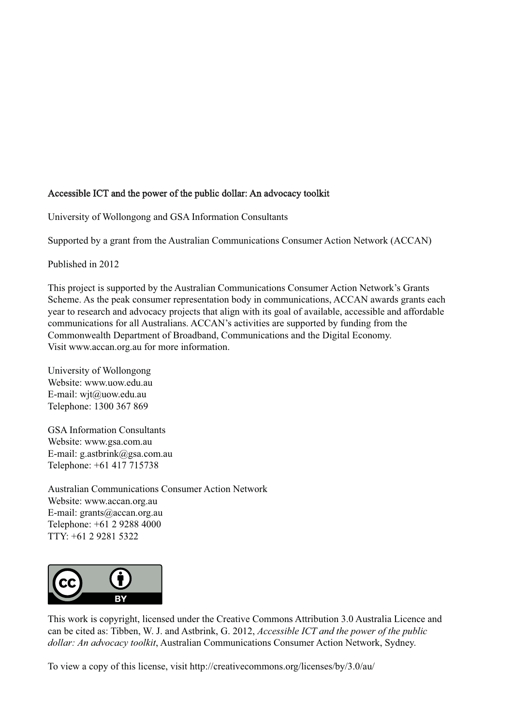#### Accessible ICT and the power of the public dollar: An advocacy toolkit

University of Wollongong and GSA Information Consultants

Supported by a grant from the Australian Communications Consumer Action Network (ACCAN)

Published in 2012

This project is supported by the Australian Communications Consumer Action Network's Grants Scheme. As the peak consumer representation body in communications, ACCAN awards grants each year to research and advocacy projects that align with its goal of available, accessible and affordable communications for all Australians. ACCAN's activities are supported by funding from the Commonwealth Department of Broadband, Communications and the Digital Economy. Visit www.accan.org.au for more information.

University of Wollongong Website: www.uow.edu.au E-mail: wjt@uow.edu.au Telephone: 1300 367 869

GSA Information Consultants Website: www.gsa.com.au E-mail: g.astbrink@gsa.com.au Telephone: +61 417 715738

Australian Communications Consumer Action Network Website: www.accan.org.au E-mail: grants@accan.org.au Telephone: +61 2 9288 4000 TTY: +61 2 9281 5322



This work is copyright, licensed under the Creative Commons Attribution 3.0 Australia Licence and can be cited as: Tibben, W. J. and Astbrink, G. 2012, *Accessible ICT and the power of the public dollar: An advocacy toolkit*, Australian Communications Consumer Action Network, Sydney.

To view a copy of this license, visit http://creativecommons.org/licenses/by/3.0/au/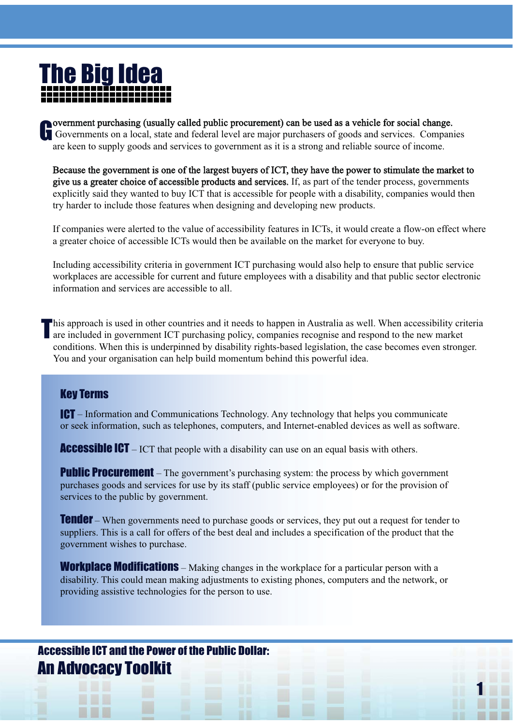

Outernment purchasing (usually called public procurement) can be used as a vehicle for social change.<br>Governments on a local, state and federal level are major purchasers of goods and services. Companies overnment purchasing (usually called public procurement) can be used as a vehicle for social change. are keen to supply goods and services to government as it is a strong and reliable source of income.

Because the government is one of the largest buyers of ICT, they have the power to stimulate the market to give us a greater choice of accessible products and services. If, as part of the tender process, governments explicitly said they wanted to buy ICT that is accessible for people with a disability, companies would then try harder to include those features when designing and developing new products.

If companies were alerted to the value of accessibility features in ICTs, it would create a flow-on effect where a greater choice of accessible ICTs would then be available on the market for everyone to buy.

Including accessibility criteria in government ICT purchasing would also help to ensure that public service workplaces are accessible for current and future employees with a disability and that public sector electronic information and services are accessible to all.

T his approach is used in other countries and it needs to happen in Australia as well. When accessibility criteria are included in government ICT purchasing policy, companies recognise and respond to the new market conditions. When this is underpinned by disability rights-based legislation, the case becomes even stronger. You and your organisation can help build momentum behind this powerful idea.

#### Key Terms

**ICT** – Information and Communications Technology. Any technology that helps you communicate or seek information, such as telephones, computers, and Internet-enabled devices as well as software.

**Accessible ICT** – ICT that people with a disability can use on an equal basis with others.

**Public Procurement** – The government's purchasing system: the process by which government purchases goods and services for use by its staff (public service employees) or for the provision of services to the public by government.

**Tender** – When governments need to purchase goods or services, they put out a request for tender to suppliers. This is a call for offers of the best deal and includes a specification of the product that the government wishes to purchase.

**Workplace Modifications** – Making changes in the workplace for a particular person with a disability. This could mean making adjustments to existing phones, computers and the network, or providing assistive technologies for the person to use.

1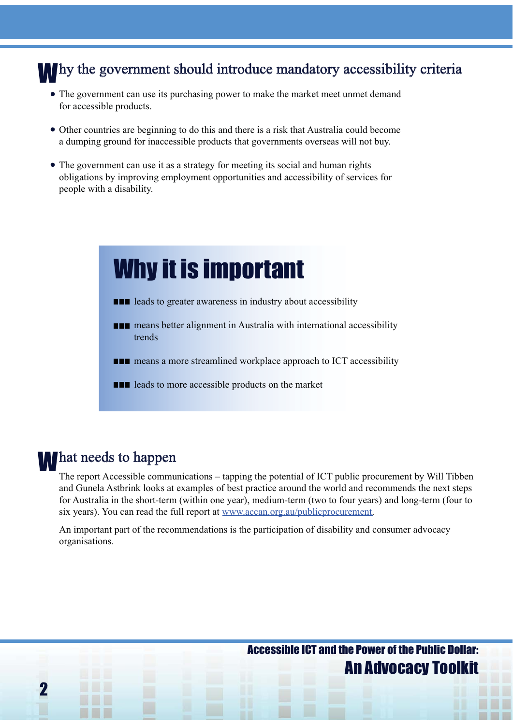### Why the government should introduce mandatory accessibility criteria

- The government can use its purchasing power to make the market meet unmet demand for accessible products.
- Other countries are beginning to do this and there is a risk that Australia could become a dumping ground for inaccessible products that governments overseas will not buy.
- The government can use it as a strategy for meeting its social and human rights obligations by improving employment opportunities and accessibility of services for people with a disability.

# Why it is important

- **III** leads to greater awareness in industry about accessibility
- **n** means better alignment in Australia with international accessibility trends
- **THE means a more streamlined workplace approach to ICT accessibility**
- **III** leads to more accessible products on the market

### What needs to happen

The report Accessible communications – tapping the potential of ICT public procurement by Will Tibben and Gunela Astbrink looks at examples of best practice around the world and recommends the next steps for Australia in the short-term (within one year), medium-term (two to four years) and long-term (four to six years). You can read the full report at www.accan.org.au/publicprocurement.

An important part of the recommendations is the participation of disability and consumer advocacy organisations.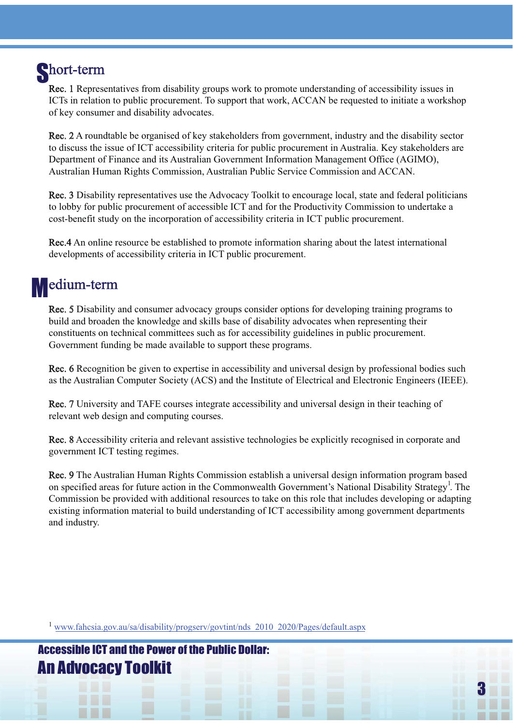### Short-term

Rec. 1 Representatives from disability groups work to promote understanding of accessibility issues in ICTs in relation to public procurement. To support that work, ACCAN be requested to initiate a workshop of key consumer and disability advocates.

Rec. 2 A roundtable be organised of key stakeholders from government, industry and the disability sector to discuss the issue of ICT accessibility criteria for public procurement in Australia. Key stakeholders are Department of Finance and its Australian Government Information Management Office (AGIMO), Australian Human Rights Commission, Australian Public Service Commission and ACCAN.

Rec. 3 Disability representatives use the Advocacy Toolkit to encourage local, state and federal politicians to lobby for public procurement of accessible ICT and for the Productivity Commission to undertake a cost-benefit study on the incorporation of accessibility criteria in ICT public procurement.

Rec.4 An online resource be established to promote information sharing about the latest international developments of accessibility criteria in ICT public procurement.

### Medium-term

Rec. 5 Disability and consumer advocacy groups consider options for developing training programs to build and broaden the knowledge and skills base of disability advocates when representing their constituents on technical committees such as for accessibility guidelines in public procurement. Government funding be made available to support these programs.

Rec. 6 Recognition be given to expertise in accessibility and universal design by professional bodies such as the Australian Computer Society (ACS) and the Institute of Electrical and Electronic Engineers (IEEE).

Rec. 7 University and TAFE courses integrate accessibility and universal design in their teaching of relevant web design and computing courses.

Rec. 8 Accessibility criteria and relevant assistive technologies be explicitly recognised in corporate and government ICT testing regimes.

Rec. 9 The Australian Human Rights Commission establish a universal design information program based on specified areas for future action in the Commonwealth Government's National Disability Strategy<sup>1</sup>. The Commission be provided with additional resources to take on this role that includes developing or adapting existing information material to build understanding of ICT accessibility among government departments and industry.

<sup>1</sup> www.fahcsia.gov.au/sa/disability/progserv/govtint/nds\_2010\_2020/Pages/default.aspx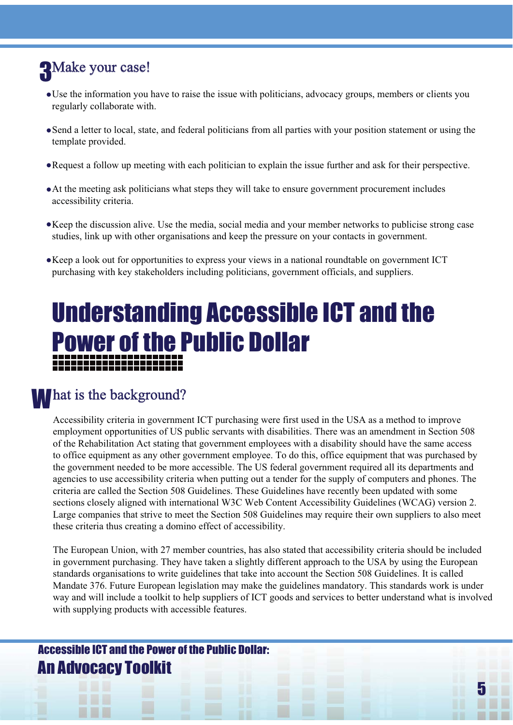# 3Make your case!

- Use the information you have to raise the issue with politicians, advocacy groups, members or clients you regularly collaborate with.
- Send a letter to local, state, and federal politicians from all parties with your position statement or using the template provided.
- Request a follow up meeting with each politician to explain the issue further and ask for their perspective.
- At the meeting ask politicians what steps they will take to ensure government procurement includes accessibility criteria.
- Keep the discussion alive. Use the media, social media and your member networks to publicise strong case studies, link up with other organisations and keep the pressure on your contacts in government.
- Keep a look out for opportunities to express your views in a national roundtable on government ICT purchasing with key stakeholders including politicians, government officials, and suppliers.

# Understanding Accessible ICT and the Power of the Public Dollar <u>==================</u>

### What is the background?

Accessibility criteria in government ICT purchasing were first used in the USA as a method to improve employment opportunities of US public servants with disabilities. There was an amendment in Section 508 of the Rehabilitation Act stating that government employees with a disability should have the same access to office equipment as any other government employee. To do this, office equipment that was purchased by the government needed to be more accessible. The US federal government required all its departments and agencies to use accessibility criteria when putting out a tender for the supply of computers and phones. The criteria are called the Section 508 Guidelines. These Guidelines have recently been updated with some sections closely aligned with international W3C Web Content Accessibility Guidelines (WCAG) version 2. Large companies that strive to meet the Section 508 Guidelines may require their own suppliers to also meet these criteria thus creating a domino effect of accessibility.

The European Union, with 27 member countries, has also stated that accessibility criteria should be included in government purchasing. They have taken a slightly different approach to the USA by using the European standards organisations to write guidelines that take into account the Section 508 Guidelines. It is called Mandate 376. Future European legislation may make the guidelines mandatory. This standards work is under way and will include a toolkit to help suppliers of ICT goods and services to better understand what is involved with supplying products with accessible features.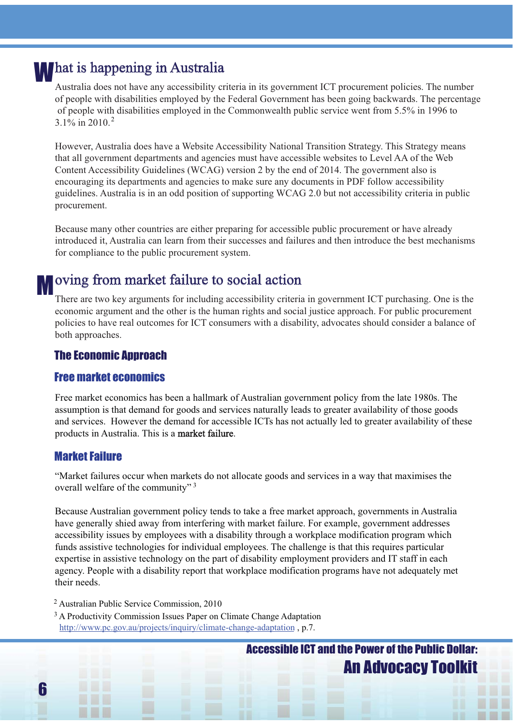### What is happening in Australia

Australia does not have any accessibility criteria in its government ICT procurement policies. The number of people with disabilities employed by the Federal Government has been going backwards. The percentage of people with disabilities employed in the Commonwealth public service went from 5.5% in 1996 to  $3.1\%$  in 2010.<sup>2</sup>

However, Australia does have a Website Accessibility National Transition Strategy. This Strategy means that all government departments and agencies must have accessible websites to Level AA of the Web Content Accessibility Guidelines (WCAG) version 2 by the end of 2014. The government also is encouraging its departments and agencies to make sure any documents in PDF follow accessibility guidelines. Australia is in an odd position of supporting WCAG 2.0 but not accessibility criteria in public procurement.

Because many other countries are either preparing for accessible public procurement or have already introduced it, Australia can learn from their successes and failures and then introduce the best mechanisms for compliance to the public procurement system.

#### loving from market failure to social action

There are two key arguments for including accessibility criteria in government ICT purchasing. One is the economic argument and the other is the human rights and social justice approach. For public procurement policies to have real outcomes for ICT consumers with a disability, advocates should consider a balance of both approaches.

#### The Economic Approach

#### Free market economics

Free market economics has been a hallmark of Australian government policy from the late 1980s. The assumption is that demand for goods and services naturally leads to greater availability of those goods and services. However the demand for accessible ICTs has not actually led to greater availability of these products in Australia. This is a market failure.

#### Market Failure

"Market failures occur when markets do not allocate goods and services in a way that maximises the overall welfare of the community" 3

Because Australian government policy tends to take a free market approach, governments in Australia have generally shied away from interfering with market failure. For example, government addresses accessibility issues by employees with a disability through a workplace modification program which funds assistive technologies for individual employees. The challenge is that this requires particular expertise in assistive technology on the part of disability employment providers and IT staff in each agency. People with a disability report that workplace modification programs have not adequately met their needs.

 $2$  Australian Public Service Commission, 2010

<sup>3</sup> A Productivity Commission Issues Paper on Climate Change Adaptation http://www.pc.gov.au/projects/inquiry/climate-change-adaptation , p.7.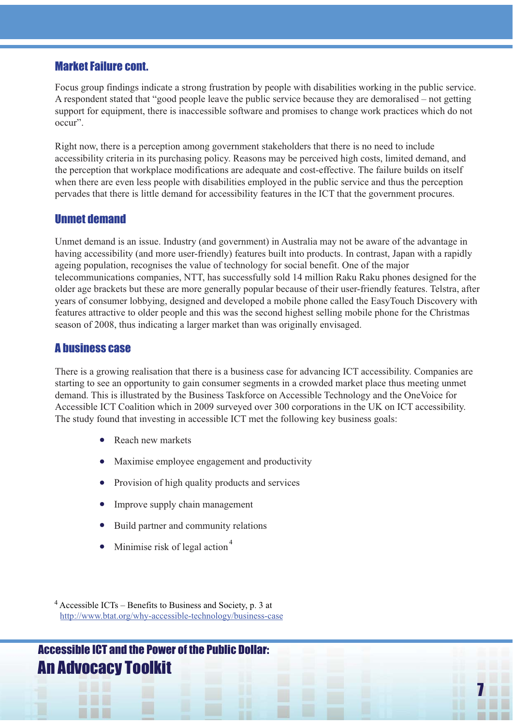#### Market Failure cont.

Focus group findings indicate a strong frustration by people with disabilities working in the public service. A respondent stated that "good people leave the public service because they are demoralised – not getting support for equipment, there is inaccessible software and promises to change work practices which do not occur".

Right now, there is a perception among government stakeholders that there is no need to include accessibility criteria in its purchasing policy. Reasons may be perceived high costs, limited demand, and the perception that workplace modifications are adequate and cost-effective. The failure builds on itself when there are even less people with disabilities employed in the public service and thus the perception pervades that there is little demand for accessibility features in the ICT that the government procures.

#### Unmet demand

Unmet demand is an issue. Industry (and government) in Australia may not be aware of the advantage in having accessibility (and more user-friendly) features built into products. In contrast, Japan with a rapidly ageing population, recognises the value of technology for social benefit. One of the major telecommunications companies, NTT, has successfully sold 14 million Raku Raku phones designed for the older age brackets but these are more generally popular because of their user-friendly features. Telstra, after years of consumer lobbying, designed and developed a mobile phone called the EasyTouch Discovery with features attractive to older people and this was the second highest selling mobile phone for the Christmas season of 2008, thus indicating a larger market than was originally envisaged.

#### A business case

There is a growing realisation that there is a business case for advancing ICT accessibility. Companies are starting to see an opportunity to gain consumer segments in a crowded market place thus meeting unmet demand. This is illustrated by the Business Taskforce on Accessible Technology and the OneVoice for Accessible ICT Coalition which in 2009 surveyed over 300 corporations in the UK on ICT accessibility. The study found that investing in accessible ICT met the following key business goals:

- Reach new markets
- Maximise employee engagement and productivity
- Provision of high quality products and services
- Improve supply chain management
- Build partner and community relations
- Minimise risk of legal action<sup>4</sup>

 $4$  Accessible ICTs – Benefits to Business and Society, p. 3 at http://www.btat.org/why-accessible-technology/business-case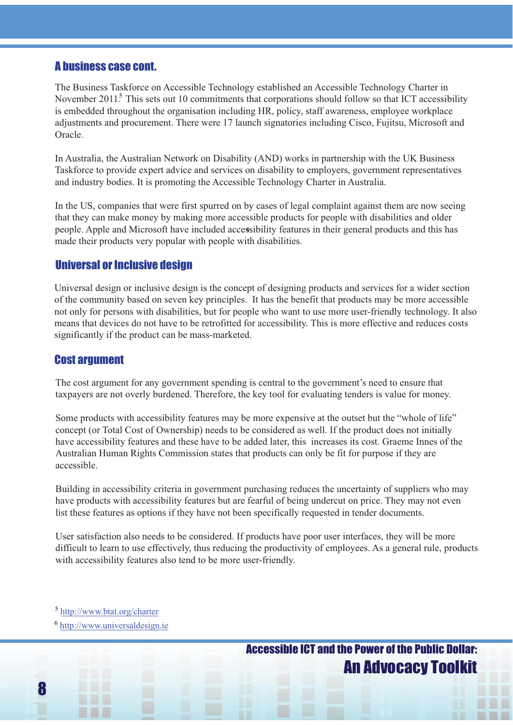#### A business case cont.

The Business Taskforce on Accessible Technology established an Accessible Technology Charter in November 2011.<sup>5</sup> This sets out 10 commitments that corporations should follow so that ICT accessibility is embedded throughout the organisation including HR, policy, staff awareness, employee workplace adjustments and procurement. There were 17 launch signatories including Cisco, Fujitsu, Microsoft and Oracle.

In Australia, the Australian Network on Disability (AND) works in partnership with the UK Business Taskforce to provide expert advice and services on disability to employers, government representatives and industry bodies. It is promoting the Accessible Technology Charter in Australia.

In the US, companies that were first spurred on by cases of legal complaint against them are now seeing that they can make money by making more accessible products for people with disabilities and older people. Apple and Microsoft have included accessibility features in their general products and this has made their products very popular with people with disabilities.

#### Universal or Inclusive design

Universal design or inclusive design is the concept of designing products and services for a wider section of the community based on seven key principles. It has the benefit that products may be more accessible not only for persons with disabilities, but for people who want to use more user-friendly technology. It also means that devices do not have to be retrofitted for accessibility. This is more effective and reduces costs significantly if the product can be mass-marketed.

#### Cost argument

The cost argument for any government spending is central to the government's need to ensure that taxpayers are not overly burdened. Therefore, the key tool for evaluating tenders is value for money.

Some products with accessibility features may be more expensive at the outset but the "whole of life" concept (or Total Cost of Ownership) needs to be considered as well. If the product does not initially have accessibility features and these have to be added later, this increases its cost. Graeme Innes of the Australian Human Rights Commission states that products can only be fit for purpose if they are accessible.

Building in accessibility criteria in government purchasing reduces the uncertainty of suppliers who may have products with accessibility features but are fearful of being undercut on price. They may not even list these features as options if they have not been specifically requested in tender documents.

User satisfaction also needs to be considered. If products have poor user interfaces, they will be more difficult to learn to use effectively, thus reducing the productivity of employees. As a general rule, products with accessibility features also tend to be more user-friendly.

5 http://www.btat.org/charter

 $6$  http://www.universaldesign.ie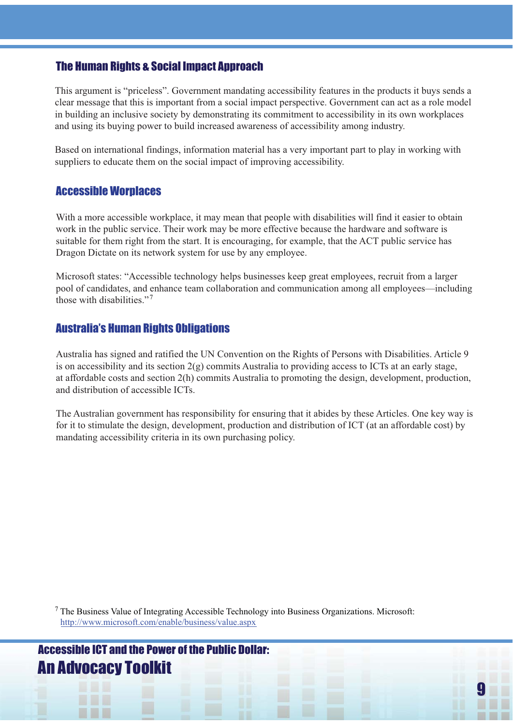#### The Human Rights & Social Impact Approach

This argument is "priceless". Government mandating accessibility features in the products it buys sends a clear message that this is important from a social impact perspective. Government can act as a role model in building an inclusive society by demonstrating its commitment to accessibility in its own workplaces and using its buying power to build increased awareness of accessibility among industry.

Based on international findings, information material has a very important part to play in working with suppliers to educate them on the social impact of improving accessibility.

#### Accessible Worplaces

With a more accessible workplace, it may mean that people with disabilities will find it easier to obtain work in the public service. Their work may be more effective because the hardware and software is suitable for them right from the start. It is encouraging, for example, that the ACT public service has Dragon Dictate on its network system for use by any employee.

Microsoft states: "Accessible technology helps businesses keep great employees, recruit from a larger pool of candidates, and enhance team collaboration and communication among all employees—including those with disabilities."<sup>7</sup>

#### Australia's Human Rights Obligations

Australia has signed and ratified the UN Convention on the Rights of Persons with Disabilities. Article 9 is on accessibility and its section 2(g) commits Australia to providing access to ICTs at an early stage, at affordable costs and section 2(h) commits Australia to promoting the design, development, production, and distribution of accessible ICTs.

The Australian government has responsibility for ensuring that it abides by these Articles. One key way is for it to stimulate the design, development, production and distribution of ICT (at an affordable cost) by mandating accessibility criteria in its own purchasing policy.

7 The Business Value of Integrating Accessible Technology into Business Organizations. Microsoft: http://www.microsoft.com/enable/business/value.aspx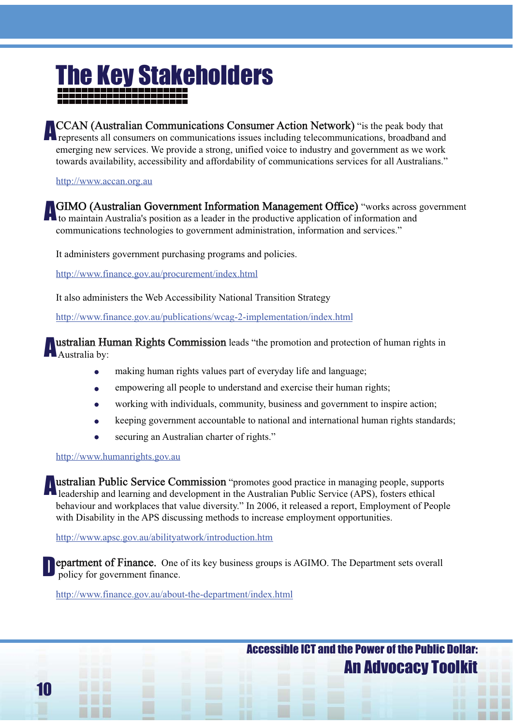## The Key Stakeholders

CCAN (Australian Communications Consumer Action Network) "is the peak body that represents all consumers on communications issues including telecommunications, broadband and emerging new services. We provide a strong, unified voice to industry and government as we work towards availability, accessibility and affordability of communications services for all Australians." A

http://www.accan.org.au

GIMO (Australian Government Information Management Office) "works across government to maintain Australia's position as a leader in the productive application of information and communications technologies to government administration, information and services." A

It administers government purchasing programs and policies.

http://www.finance.gov.au/procurement/index.html

It also administers the Web Accessibility National Transition Strategy

http://www.finance.gov.au/publications/wcag-2-implementation/index.html

ustralian Human Rights Commission leads "the promotion and protection of human rights in Australia by: A

- making human rights values part of everyday life and language;
- empowering all people to understand and exercise their human rights;
- working with individuals, community, business and government to inspire action;
- keeping government accountable to national and international human rights standards;
- securing an Australian charter of rights."

http://www.humanrights.gov.au

**Australian Public Service Commission** "promotes good practice in managing people, supports leadership and learning and development in the Australian Public Service (APS), fosters ethical leadership and learning and development in the Australian Public Service (APS), fosters ethical behaviour and workplaces that value diversity." In 2006, it released a report, Employment of People with Disability in the APS discussing methods to increase employment opportunities.

http://www.apsc.gov.au/abilityatwork/introduction.htm

epartment of Finance. One of its key business groups is AGIMO. The Department sets overall policy for government finance. D

http://www.finance.gov.au/about-the-department/index.html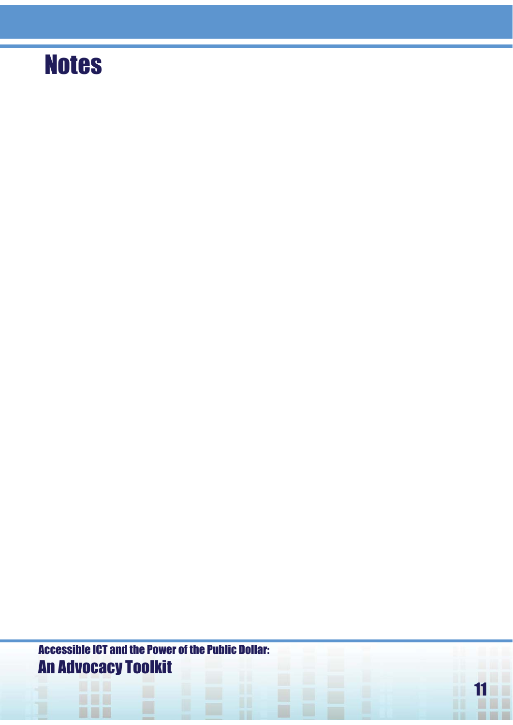# **Notes**

Accessible ICT and the Power of the Public Dollar: An Advocacy Toolkit

E

**HEL** 

n din

**HELE**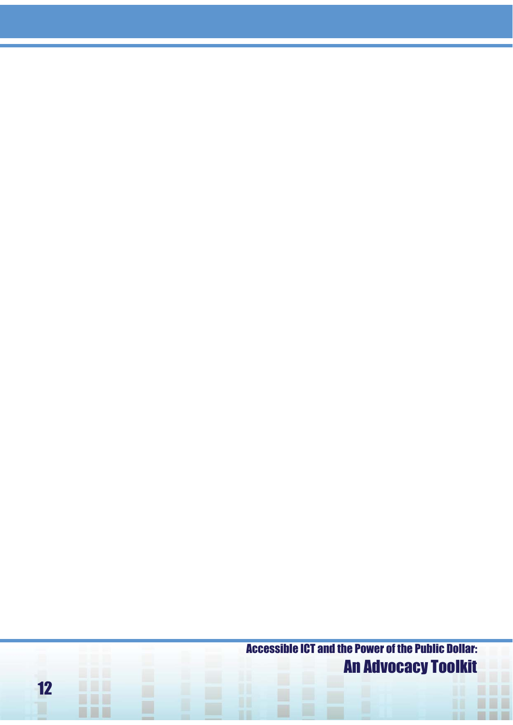Accessible ICT and the Power of the Public Dollar: An Advocacy Toolkit 

Æ

H

H.